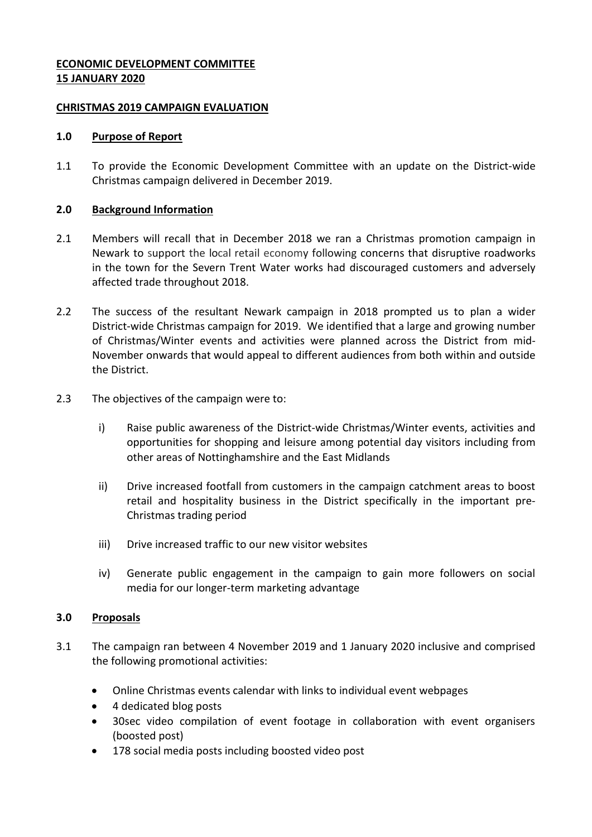# **ECONOMIC DEVELOPMENT COMMITTEE 15 JANUARY 2020**

## **CHRISTMAS 2019 CAMPAIGN EVALUATION**

#### **1.0 Purpose of Report**

1.1 To provide the Economic Development Committee with an update on the District-wide Christmas campaign delivered in December 2019.

#### **2.0 Background Information**

- 2.1 Members will recall that in December 2018 we ran a Christmas promotion campaign in Newark to support the local retail economy following concerns that disruptive roadworks in the town for the Severn Trent Water works had discouraged customers and adversely affected trade throughout 2018.
- 2.2 The success of the resultant Newark campaign in 2018 prompted us to plan a wider District-wide Christmas campaign for 2019. We identified that a large and growing number of Christmas/Winter events and activities were planned across the District from mid-November onwards that would appeal to different audiences from both within and outside the District.
- 2.3 The objectives of the campaign were to:
	- i) Raise public awareness of the District-wide Christmas/Winter events, activities and opportunities for shopping and leisure among potential day visitors including from other areas of Nottinghamshire and the East Midlands
	- ii) Drive increased footfall from customers in the campaign catchment areas to boost retail and hospitality business in the District specifically in the important pre-Christmas trading period
	- iii) Drive increased traffic to our new visitor websites
	- iv) Generate public engagement in the campaign to gain more followers on social media for our longer-term marketing advantage

## **3.0 Proposals**

- 3.1 The campaign ran between 4 November 2019 and 1 January 2020 inclusive and comprised the following promotional activities:
	- Online Christmas events calendar with links to individual event webpages
	- 4 dedicated blog posts
	- 30sec video compilation of event footage in collaboration with event organisers (boosted post)
	- 178 social media posts including boosted video post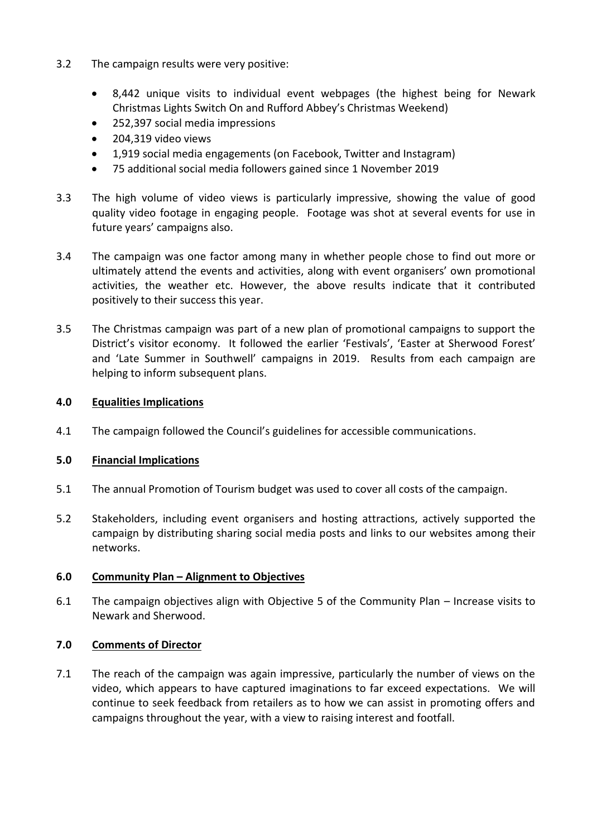- 3.2 The campaign results were very positive:
	- 8,442 unique visits to individual event webpages (the highest being for Newark Christmas Lights Switch On and Rufford Abbey's Christmas Weekend)
	- 252,397 social media impressions
	- 204,319 video views
	- 1,919 social media engagements (on Facebook, Twitter and Instagram)
	- 75 additional social media followers gained since 1 November 2019
- 3.3 The high volume of video views is particularly impressive, showing the value of good quality video footage in engaging people. Footage was shot at several events for use in future years' campaigns also.
- 3.4 The campaign was one factor among many in whether people chose to find out more or ultimately attend the events and activities, along with event organisers' own promotional activities, the weather etc. However, the above results indicate that it contributed positively to their success this year.
- 3.5 The Christmas campaign was part of a new plan of promotional campaigns to support the District's visitor economy. It followed the earlier 'Festivals', 'Easter at Sherwood Forest' and 'Late Summer in Southwell' campaigns in 2019. Results from each campaign are helping to inform subsequent plans.

## **4.0 Equalities Implications**

4.1 The campaign followed the Council's guidelines for accessible communications.

## **5.0 Financial Implications**

- 5.1 The annual Promotion of Tourism budget was used to cover all costs of the campaign.
- 5.2 Stakeholders, including event organisers and hosting attractions, actively supported the campaign by distributing sharing social media posts and links to our websites among their networks.

## **6.0 Community Plan – Alignment to Objectives**

6.1 The campaign objectives align with Objective 5 of the Community Plan – Increase visits to Newark and Sherwood.

## **7.0 Comments of Director**

7.1 The reach of the campaign was again impressive, particularly the number of views on the video, which appears to have captured imaginations to far exceed expectations. We will continue to seek feedback from retailers as to how we can assist in promoting offers and campaigns throughout the year, with a view to raising interest and footfall.